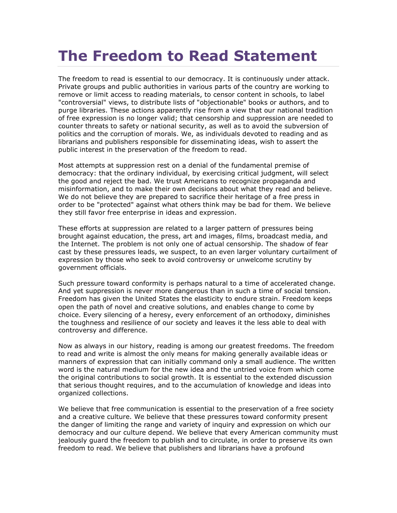## **The Freedom to Read Statement**

The freedom to read is essential to our democracy. It is continuously under attack. Private groups and public authorities in various parts of the country are working to remove or limit access to reading materials, to censor content in schools, to label "controversial" views, to distribute lists of "objectionable" books or authors, and to purge libraries. These actions apparently rise from a view that our national tradition of free expression is no longer valid; that censorship and suppression are needed to counter threats to safety or national security, as well as to avoid the subversion of politics and the corruption of morals. We, as individuals devoted to reading and as librarians and publishers responsible for disseminating ideas, wish to assert the public interest in the preservation of the freedom to read.

Most attempts at suppression rest on a denial of the fundamental premise of democracy: that the ordinary individual, by exercising critical judgment, will select the good and reject the bad. We trust Americans to recognize propaganda and misinformation, and to make their own decisions about what they read and believe. We do not believe they are prepared to sacrifice their heritage of a free press in order to be "protected" against what others think may be bad for them. We believe they still favor free enterprise in ideas and expression.

These efforts at suppression are related to a larger pattern of pressures being brought against education, the press, art and images, films, broadcast media, and the Internet. The problem is not only one of actual censorship. The shadow of fear cast by these pressures leads, we suspect, to an even larger voluntary curtailment of expression by those who seek to avoid controversy or unwelcome scrutiny by government officials.

Such pressure toward conformity is perhaps natural to a time of accelerated change. And yet suppression is never more dangerous than in such a time of social tension. Freedom has given the United States the elasticity to endure strain. Freedom keeps open the path of novel and creative solutions, and enables change to come by choice. Every silencing of a heresy, every enforcement of an orthodoxy, diminishes the toughness and resilience of our society and leaves it the less able to deal with controversy and difference.

Now as always in our history, reading is among our greatest freedoms. The freedom to read and write is almost the only means for making generally available ideas or manners of expression that can initially command only a small audience. The written word is the natural medium for the new idea and the untried voice from which come the original contributions to social growth. It is essential to the extended discussion that serious thought requires, and to the accumulation of knowledge and ideas into organized collections.

We believe that free communication is essential to the preservation of a free society and a creative culture. We believe that these pressures toward conformity present the danger of limiting the range and variety of inquiry and expression on which our democracy and our culture depend. We believe that every American community must jealously guard the freedom to publish and to circulate, in order to preserve its own freedom to read. We believe that publishers and librarians have a profound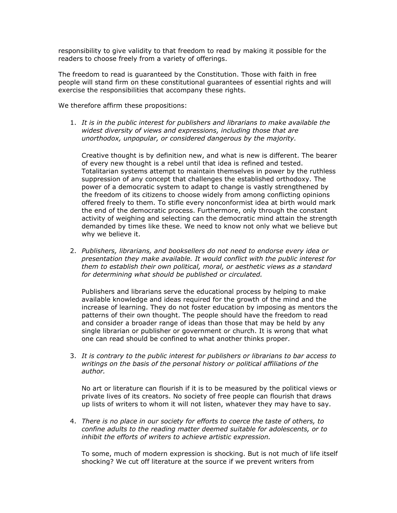responsibility to give validity to that freedom to read by making it possible for the readers to choose freely from a variety of offerings.

The freedom to read is guaranteed by the Constitution. Those with faith in free people will stand firm on these constitutional guarantees of essential rights and will exercise the responsibilities that accompany these rights.

We therefore affirm these propositions:

1. *It is in the public interest for publishers and librarians to make available the widest diversity of views and expressions, including those that are unorthodox, unpopular, or considered dangerous by the majority.*

Creative thought is by definition new, and what is new is different. The bearer of every new thought is a rebel until that idea is refined and tested. Totalitarian systems attempt to maintain themselves in power by the ruthless suppression of any concept that challenges the established orthodoxy. The power of a democratic system to adapt to change is vastly strengthened by the freedom of its citizens to choose widely from among conflicting opinions offered freely to them. To stifle every nonconformist idea at birth would mark the end of the democratic process. Furthermore, only through the constant activity of weighing and selecting can the democratic mind attain the strength demanded by times like these. We need to know not only what we believe but why we believe it.

2. *Publishers, librarians, and booksellers do not need to endorse every idea or presentation they make available. It would conflict with the public interest for them to establish their own political, moral, or aesthetic views as a standard for determining what should be published or circulated.*

Publishers and librarians serve the educational process by helping to make available knowledge and ideas required for the growth of the mind and the increase of learning. They do not foster education by imposing as mentors the patterns of their own thought. The people should have the freedom to read and consider a broader range of ideas than those that may be held by any single librarian or publisher or government or church. It is wrong that what one can read should be confined to what another thinks proper.

3. *It is contrary to the public interest for publishers or librarians to bar access to writings on the basis of the personal history or political affiliations of the author.*

No art or literature can flourish if it is to be measured by the political views or private lives of its creators. No society of free people can flourish that draws up lists of writers to whom it will not listen, whatever they may have to say.

4. *There is no place in our society for efforts to coerce the taste of others, to confine adults to the reading matter deemed suitable for adolescents, or to inhibit the efforts of writers to achieve artistic expression.*

To some, much of modern expression is shocking. But is not much of life itself shocking? We cut off literature at the source if we prevent writers from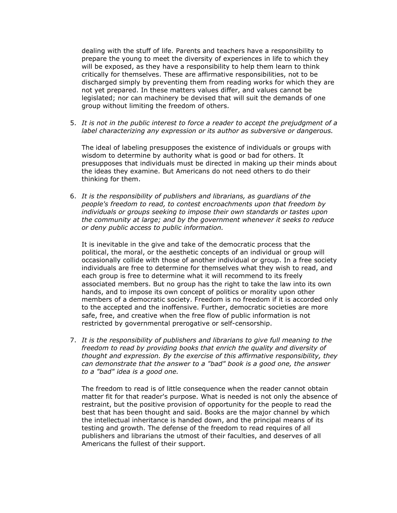dealing with the stuff of life. Parents and teachers have a responsibility to prepare the young to meet the diversity of experiences in life to which they will be exposed, as they have a responsibility to help them learn to think critically for themselves. These are affirmative responsibilities, not to be discharged simply by preventing them from reading works for which they are not yet prepared. In these matters values differ, and values cannot be legislated; nor can machinery be devised that will suit the demands of one group without limiting the freedom of others.

5. *It is not in the public interest to force a reader to accept the prejudgment of a label characterizing any expression or its author as subversive or dangerous.*

The ideal of labeling presupposes the existence of individuals or groups with wisdom to determine by authority what is good or bad for others. It presupposes that individuals must be directed in making up their minds about the ideas they examine. But Americans do not need others to do their thinking for them.

6. *It is the responsibility of publishers and librarians, as guardians of the people's freedom to read, to contest encroachments upon that freedom by individuals or groups seeking to impose their own standards or tastes upon the community at large; and by the government whenever it seeks to reduce or deny public access to public information.*

It is inevitable in the give and take of the democratic process that the political, the moral, or the aesthetic concepts of an individual or group will occasionally collide with those of another individual or group. In a free society individuals are free to determine for themselves what they wish to read, and each group is free to determine what it will recommend to its freely associated members. But no group has the right to take the law into its own hands, and to impose its own concept of politics or morality upon other members of a democratic society. Freedom is no freedom if it is accorded only to the accepted and the inoffensive. Further, democratic societies are more safe, free, and creative when the free flow of public information is not restricted by governmental prerogative or self-censorship.

7. *It is the responsibility of publishers and librarians to give full meaning to the freedom to read by providing books that enrich the quality and diversity of thought and expression. By the exercise of this affirmative responsibility, they can demonstrate that the answer to a "bad" book is a good one, the answer to a "bad" idea is a good one.*

The freedom to read is of little consequence when the reader cannot obtain matter fit for that reader's purpose. What is needed is not only the absence of restraint, but the positive provision of opportunity for the people to read the best that has been thought and said. Books are the major channel by which the intellectual inheritance is handed down, and the principal means of its testing and growth. The defense of the freedom to read requires of all publishers and librarians the utmost of their faculties, and deserves of all Americans the fullest of their support.